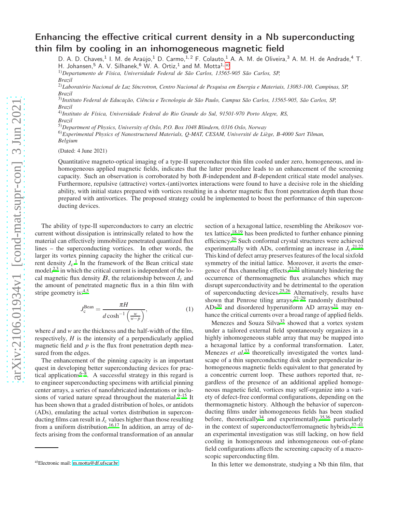## Enhancing the effective critical current density in a Nb superconducting thin film by cooling in an inhomogeneous magnetic field

D. A. D. Chaves,<sup>1</sup> I. M. de Araújo,<sup>1</sup> D. Carmo,<sup>1,2</sup> F. Colauto,<sup>1</sup> A. A. M. de Oliveira,<sup>3</sup> A. M. H. de Andrade,<sup>4</sup> T. H. Johansen,  $5$  A. V. Silhanek,  $6$  W. A. Ortiz,  $1$  and M. Motta $1, a$ )

1)*Departamento de Física, Universidade Federal de São Carlos, 13565-905 São Carlos, SP,*

*Brazil*

2)*Laboratório Nacional de Luz Síncrotron, Centro Nacional de Pesquisa em Energia e Materiais, 13083-100, Campinas, SP, Brazil*

3)*Instituto Federal de Educação, Ciência e Tecnologia de São Paulo, Campus São Carlos, 13565-905, São Carlos, SP, Brazil*

4)*Instituto de Física, Universidade Federal do Rio Grande do Sul, 91501-970 Porto Alegre, RS, Brazil*

5)*Department of Physics, University of Oslo, P.O. Box 1048 Blindern, 0316 Oslo, Norway*

6)*Experimental Physics of Nanostructured Materials, Q-MAT, CESAM, Université de Liège, B-4000 Sart Tilman, Belgium*

(Dated: 4 June 2021)

Quantitative magneto-optical imaging of a type-II superconductor thin film cooled under zero, homogeneous, and inhomogeneous applied magnetic fields, indicates that the latter procedure leads to an enhancement of the screening capacity. Such an observation is corroborated by both *B*-independent and *B*-dependent critical state model analyses. Furthermore, repulsive (attractive) vortex-(anti)vortex interactions were found to have a decisive role in the shielding ability, with initial states prepared with vortices resulting in a shorter magnetic flux front penetration depth than those prepared with antivortices. The proposed strategy could be implemented to boost the performance of thin superconducting devices.

The ability of type-II superconductors to carry an electric current without dissipation is intrinsically related to how the material can effectively immobilize penetrated quantized flux lines – the superconducting vortices. In other words, the larger its vortex pinning capacity the higher the critical current density  $J_c$ .<sup>[1](#page-4-0)</sup> In the framework of the Bean critical state model, $^{2,3}$  $^{2,3}$  $^{2,3}$  $^{2,3}$  in which the critical current is independent of the local magnetic flux density  $B$ , the relationship between  $J_c$  and the amount of penetrated magnetic flux in a thin film with stripe geometry is:<sup>[4](#page-4-3)[,5](#page-4-4)</sup>

<span id="page-0-1"></span>
$$
J_{\rm c}^{\rm Bean} = \frac{\pi H}{d \cosh^{-1}\left(\frac{w}{w - p}\right)},\tag{1}
$$

where *d* and *w* are the thickness and the half-width of the film, respectively, *H* is the intensity of a perpendicularly applied magnetic field and *p* is the flux front penetration depth measured from the edges.

The enhancement of the pinning capacity is an important quest in developing better superconducting devices for practical applications<sup> $6-8$  $6-8$ </sup>. A successful strategy in this regard is to engineer superconducting specimens with artificial pinning center arrays, a series of nanofabricated indentations or inclu-sions of varied nature spread throughout the material[.](#page-4-7) $9-15$  It has been shown that a graded distribution of holes, or antidots (ADs), emulating the actual vortex distribution in superconducting films can result in  $J_c$  values higher than those resulting from a uniform distribution.<sup>[16](#page-4-9)[,17](#page-4-10)</sup> In addition, an array of defects arising from the conformal transformation of an annular

section of a hexagonal lattice, resembling the Abrikosov vortex lattice, $18,19$  $18,19$  has been predicted to further enhance pinning efficiency.<sup>[20](#page-5-1)</sup> Such conformal crystal structures were achieved experimentally with ADs, confirming an increase in  $J_c$ .<sup>[21](#page-5-2)[,22](#page-5-3)</sup> This kind of defect array preserves features of the local sixfold symmetry of the initial lattice. Moreover, it averts the emergence of flux channeling effects,  $23,24$  $23,24$  ultimately hindering the occurrence of thermomagnetic flux avalanches which may disrupt superconductivity and be detrimental to the operation of superconducting devices.<sup>[25](#page-5-6)[,26](#page-5-7)</sup> Alternatively, results have shown that Penrose tiling arrays,  $27-29$  $27-29$  randomly distributed  $ADS<sup>30</sup>$  $ADS<sup>30</sup>$  $ADS<sup>30</sup>$  and disordered hyperuniform AD arrays<sup>[31](#page-5-11)</sup> may enhance the critical currents over a broad range of applied fields.

Menezes and Souza  $\text{Si} \text{V} \text{a}^{32}$  $\text{Si} \text{V} \text{a}^{32}$  $\text{Si} \text{V} \text{a}^{32}$  showed that a vortex system under a tailored external field spontaneously organizes in a highly inhomogeneous stable array that may be mapped into a hexagonal lattice by a conformal transformation. Later, Menezes *et al.*<sup>[33](#page-5-13)</sup> theoretically investigated the vortex landscape of a thin superconducting disk under perpendicular inhomogeneous magnetic fields equivalent to that generated by a concentric current loop. These authors reported that, regardless of the presence of an additional applied homogeneous magnetic field, vortices may self-organize into a variety of defect-free conformal configurations, depending on the thermomagnetic history. Although the behavior of superconducting films under inhomogeneous fields has been studied before, theoretically<sup>[34](#page-5-14)</sup> and experimentally,<sup>[35](#page-5-15)[,36](#page-5-16)</sup> particularly in the context of superconductor/ferromagnetic hybrids,  $37-41$  $37-41$ an experimental investigation was still lacking, on how field cooling in homogeneous and inhomogeneous out-of-plane field configurations affects the screening capacity of a macroscopic superconducting film.

In this letter we demonstrate, studying a Nb thin film, that

<span id="page-0-0"></span>a)Electronic mail: [m.motta@df.ufscar.br](mailto:m.motta@df.ufscar.br)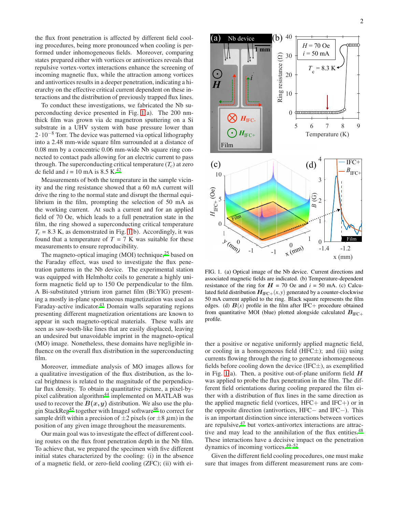the flux front penetration is affected by different field cooling procedures, being more pronounced when cooling is performed under inhomogeneous fields. Moreover, comparing states prepared either with vortices or antivortices reveals that repulsive vortex-vortex interactions enhance the screening of incoming magnetic flux, while the attraction among vortices and antivortices results in a deeper penetration, indicating a hierarchy on the effective critical current dependent on these interactions and the distribution of previously trapped flux lines.

To conduct these investigations, we fabricated the Nb superconducting device presented in Fig. [1\(](#page-1-0)a). The 200 nmthick film was grown via dc magnetron sputtering on a Si substrate in a UHV system with base pressure lower than  $2 \cdot 10^{-8}$  Torr. The device was patterned via optical lithography into a 2.48 mm-wide square film surrounded at a distance of 0.08 mm by a concentric 0.06 mm-wide Nb square ring connected to contact pads allowing for an electric current to pass through. The superconducting critical temperature  $(T_c)$  at zero dc field and  $i = 10$  mA is 8.5 K.<sup>[42](#page-5-19)</sup>

Measurements of both the temperature in the sample vicinity and the ring resistance showed that a 60 mA current will drive the ring to the normal state and disrupt the thermal equilibrium in the film, prompting the selection of 50 mA as the working current. At such a current and for an applied field of 70 Oe, which leads to a full penetration state in the film, the ring showed a superconducting critical temperature  $T_c = 8.3$  K, as demonstrated in Fig. [1\(](#page-1-0)b). Accordingly, it was found that a temperature of  $T = 7$  K was suitable for these measurements to ensure reproducibility.

The magneto-optical imaging (MOI) technique,<sup>[25](#page-5-6)</sup> based on the Faraday effect, was used to investigate the flux penetration patterns in the Nb device. The experimental station was equipped with Helmholtz coils to generate a highly uniform magnetic field up to 150 Oe perpendicular to the film. A Bi-substituted yttrium iron garnet film (Bi:YIG) presenting a mostly in-plane spontaneous magnetization was used as Faraday-active indicator.<sup>[43](#page-5-20)</sup> Domain walls separating regions presenting different magnetization orientations are known to appear in such magneto-optical materials. These walls are seen as saw-tooth-like lines that are easily displaced, leaving an undesired but unavoidable imprint in the magneto-optical (MO) image. Nonetheless, these domains have negligible influence on the overall flux distribution in the superconducting film.

Moreover, immediate analysis of MO images allows for a qualitative investigation of the flux distribution, as the local brightness is related to the magnitude of the perpendicular flux density. To obtain a quantitative picture, a pixel-by-pixel calibration algorithm<sup>[44](#page-5-21)</sup> implemented on MATLAB was used to recover the  $B(x, y)$  distribution. We also use the plu-gin StackReg<sup>[45](#page-5-22)</sup> together with ImageJ software<sup>[46](#page-5-23)</sup> to correct for sample drift within a precision of  $\pm 2$  pixels (or  $\pm 8 \ \mu$ m) in the position of any given image throughout the measurements.

Our main goal was to investigate the effect of different cooling routes on the flux front penetration depth in the Nb film. To achieve that, we prepared the specimen with five different initial states characterized by the cooling: (i) in the absence of a magnetic field, or zero-field cooling (ZFC); (ii) with ei-



<span id="page-1-0"></span>FIG. 1. (a) Optical image of the Nb device. Current directions and associated magnetic fields are indicated. (b) Temperature-dependent resistance of the ring for  $H = 70$  Oe and  $i = 50$  mA. (c) Calculated field distribution  $H_{\text{IFC+}}(x, y)$  generated by a counter-clockwise 50 mA current applied to the ring. Black square represents the film edges. (d)  $\mathbf{B}(x)$  profile in the film after IFC+ procedure obtained from quantitative MOI (blue) plotted alongside calculated  $B_{\text{IFC+}}$ profile.

ther a positive or negative uniformly applied magnetic field, or cooling in a homogeneous field (HFC $\pm$ ); and (iii) using currents flowing through the ring to generate inhomogeneous fields before cooling down the device (IFC $\pm$ ), as exemplified in Fig. [1\(](#page-1-0)a). Then, a positive out-of-plane uniform field  $H$ was applied to probe the flux penetration in the film. The different field orientations during cooling prepared the film either with a distribution of flux lines in the same direction as the applied magnetic field (vortices,  $HFC+$  and  $IFC+$ ) or in the opposite direction (antivortices, HFC− and IFC−). This is an important distinction since interactions between vortices are repulsive, $47$  but vortex-antivortex interactions are attrac-tive and may lead to the annihilation of the flux entities.<sup>[48](#page-5-25)</sup> These interactions have a decisive impact on the penetration dynamics of incoming vortices.[49](#page-5-26)[–52](#page-5-27)

Given the different field cooling procedures, one must make sure that images from different measurement runs are com-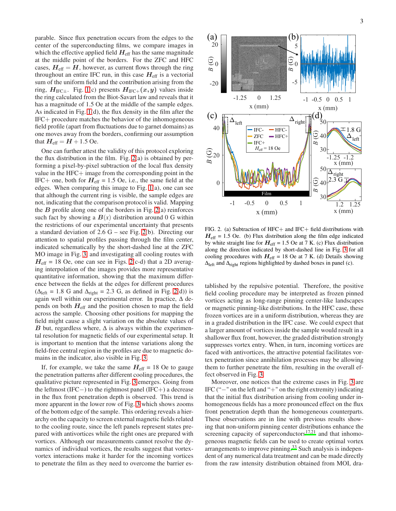parable. Since flux penetration occurs from the edges to the center of the superconducting films, we compare images in which the effective applied field  $H_{\text{eff}}$  has the same magnitude at the middle point of the borders. For the ZFC and HFC cases,  $H_{\text{eff}} = H$ , however, as current flows through the ring throughout an entire IFC run, in this case  $H_{\text{eff}}$  is a vectorial sum of the uniform field and the contribution arising from the ring,  $H_{\text{IFC}\pm}$ . Fig. [1\(](#page-1-0)c) presents  $H_{\text{IFC}\pm}(x,y)$  values inside the ring calculated from the Biot-Savart law and reveals that it has a magnitude of 1.5 Oe at the middle of the sample edges. As indicated in Fig. [1\(](#page-1-0)d), the flux density in the film after the IFC+ procedure matches the behavior of the inhomogeneous field profile (apart from fluctuations due to garnet domains) as one moves away from the borders, confirming our assumption that  $H_{\text{eff}} = H + 1.5$  Oe.

One can further attest the validity of this protocol exploring the flux distribution in the film. Fig. [2\(](#page-2-0)a) is obtained by performing a pixel-by-pixel subtraction of the local flux density value in the HFC+ image from the corresponding point in the IFC+ one, both for  $H_{\text{eff}} = 1.5$  Oe, i.e., the same field at the edges. When comparing this image to Fig. [1\(](#page-1-0)a), one can see that although the current ring is visible, the sample edges are not, indicating that the comparison protocol is valid. Mapping the  $B$  profile along one of the borders in Fig. [2\(](#page-2-0)a) reinforces such fact by showing a  $B(x)$  distribution around 0 G within the restrictions of our experimental uncertainty that presents a standard deviation of 2.6 G – see Fig. [2\(](#page-2-0)b). Directing our attention to spatial profiles passing through the film center, indicated schematically by the short-dashed line at the ZFC MO image in Fig. [3,](#page-3-0) and investigating all cooling routes with  $H_{\text{eff}}$  = 18 Oe, one can see in Figs. [2\(](#page-2-0)c-d) that a 2D averaging interpolation of the images provides more representative quantitative information, showing that the maximum difference between the fields at the edges for different procedures  $(\Delta_{\text{left}} = 1.8 \text{ G and } \Delta_{\text{right}} = 2.3 \text{ G, as defined in Fig. 2(d)) is}$  $(\Delta_{\text{left}} = 1.8 \text{ G and } \Delta_{\text{right}} = 2.3 \text{ G, as defined in Fig. 2(d)) is}$  $(\Delta_{\text{left}} = 1.8 \text{ G and } \Delta_{\text{right}} = 2.3 \text{ G, as defined in Fig. 2(d)) is}$ again well within our experimental error. In practice,  $\Delta$  depends on both  $H_{\text{eff}}$  and the position chosen to map the field across the sample. Choosing other positions for mapping the field might cause a slight variation on the absolute values of B but, regardless where,  $\Delta$  is always within the experimental resolution for magnetic fields of our experimental setup. It is important to mention that the intense variations along the field-free central region in the profiles are due to magnetic domains in the indicator, also visible in Fig. [3.](#page-3-0)

If, for example, we take the same  $H_{\text{eff}} = 18$  Oe to gauge the penetration patterns after different cooling procedures, the qualitative picture represented in Fig. [3](#page-3-0) emerges. Going from the leftmost (IFC−) to the rightmost panel (IFC+) a decrease in the flux front penetration depth is observed. This trend is more apparent in the lower row of Fig. [3](#page-3-0) which shows zooms of the bottom edge of the sample. This ordering reveals a hierarchy on the capacity to screen external magnetic fields related to the cooling route, since the left panels represent states prepared with antivortices while the right ones are prepared with vortices. Although our measurements cannot resolve the dynamics of individual vortices, the results suggest that vortexvortex interactions make it harder for the incoming vortices to penetrate the film as they need to overcome the barrier es-



<span id="page-2-0"></span>FIG. 2. (a) Subtraction of HFC+ and IFC+ field distributions with  $H_{\text{eff}}$  = 1.5 Oe. (b) Flux distribution along the film edge indicated by white straight line for  $H_{\text{eff}} = 1.5$  Oe at 7 K. (c) Flux distribution along the direction indicated by short-dashed line in Fig. [3](#page-3-0) for all cooling procedures with  $H_{\text{eff}} = 18$  Oe at 7 K. (d) Details showing  $\Delta_{\text{left}}$  and  $\Delta_{\text{right}}$  regions highlighted by dashed boxes in panel (c).

tablished by the repulsive potential. Therefore, the positive field cooling procedure may be interpreted as frozen pinned vortices acting as long-range pinning center-like landscapes or magnetic pinning-like distributions. In the HFC case, these frozen vortices are in a uniform distribution, whereas they are in a graded distribution in the IFC case. We could expect that a larger amount of vortices inside the sample would result in a shallower flux front, however, the graded distribution strongly suppresses vortex entry. When, in turn, incoming vortices are faced with antivortices, the attractive potential facilitates vortex penetration since annihilation processes may be allowing them to further penetrate the film, resulting in the overall effect observed in Fig. [3.](#page-3-0)

Moreover, one notices that the extreme cases in Fig. [3](#page-3-0) are IFC ("−" on the left and "+" on the right extremity) indicating that the initial flux distribution arising from cooling under inhomogeneous fields has a more pronounced effect on the flux front penetration depth than the homogeneous counterparts. These observations are in line with previous results showing that non-uniform pinning center distributions enhance the screening capacity of superconductors<sup>[17](#page-4-10)[,21](#page-5-2)</sup> and that inhomogeneous magnetic fields can be used to create optimal vortex arrangements to improve pinning.<sup>[33](#page-5-13)</sup> Such analysis is independent of any numerical data treatment and can be made directly from the raw intensity distribution obtained from MOI, dra-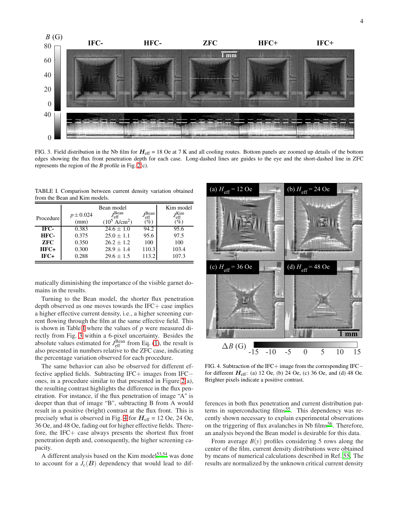

<span id="page-3-0"></span>FIG. 3. Field distribution in the Nb film for  $H_{\text{eff}} = 18$  Oe at 7 K and all cooling routes. Bottom panels are zoomed up details of the bottom edges showing the flux front penetration depth for each case. Long-dashed lines are guides to the eye and the short-dashed line in ZFC represents the region of the *B* profile in Fig. [2\(](#page-2-0)c).

<span id="page-3-1"></span>TABLE I. Comparison between current density variation obtained from the Bean and Kim models.

| Procedure  | $p \pm 0.024$<br>(mm) | Bean model<br>$J_{\text{eff}}^{\text{Bean}}$<br>$(10^5 \text{ A/cm}^2)$ | $J_{\text{eff}}^{\text{Bean}}$<br>$(\%)$ | Kim model<br><i>J</i> Kim<br>eff<br>$(\%)$ |
|------------|-----------------------|-------------------------------------------------------------------------|------------------------------------------|--------------------------------------------|
| IFC-       | 0.383                 | $24.6 + 1.0$                                                            | 94.2                                     | 95.6                                       |
| HFC-       | 0.375                 | $25.0 + 1.1$                                                            | 95.6                                     | 97.5                                       |
| <b>ZFC</b> | 0.350                 | $26.2 + 1.2$                                                            | 100                                      | 100                                        |
| $HFC+$     | 0.300                 | $28.9 \pm 1.4$                                                          | 110.3                                    | 103.4                                      |
| $IFC+$     | 0.288                 | $29.6 \pm 1.5$                                                          | 113.2                                    | 107.3                                      |

matically diminishing the importance of the visible garnet domains in the results.

Turning to the Bean model, the shorter flux penetration depth observed as one moves towards the IFC+ case implies a higher effective current density, i.e., a higher screening current flowing through the film at the same effective field. This is shown in Table [I](#page-3-1) where the values of *p* were measured directly from Fig. [3](#page-3-0) within a 6-pixel uncertainty. Besides the absolute values estimated for  $J_{\text{eff}}^{\text{Bean}}$  from Eq. [\(1\)](#page-0-1), the result is also presented in numbers relative to the ZFC case, indicating the percentage variation observed for each procedure.

The same behavior can also be observed for different effective applied fields. Subtracting IFC+ images from IFC− ones, in a procedure similar to that presented in Figure [2\(](#page-2-0)a), the resulting contrast highlights the difference in the flux penetration. For instance, if the flux penetration of image "A" is deeper than that of image "B", subtracting B from A would result in a positive (bright) contrast at the flux front. This is precisely what is observed in Fig. [4](#page-3-2) for  $H_{\text{eff}} = 12$  Oe, 24 Oe, 36 Oe, and 48 Oe, fading out for higher effective fields. Therefore, the IFC+ case always presents the shortest flux front penetration depth and, consequently, the higher screening capacity.

A different analysis based on the Kim model $53,54$  $53,54$  was done to account for a  $J_c(B)$  dependency that would lead to dif-



<span id="page-3-2"></span>FIG. 4. Subtraction of the IFC+ image from the corresponding IFC− for different  $H_{\text{eff}}$ : (a) 12 Oe, (b) 24 Oe, (c) 36 Oe, and (d) 48 Oe. Brighter pixels indicate a positive contrast.

ferences in both flux penetration and current distribution pat-terns in superconducting films<sup>[55](#page-5-30)</sup>. This dependency was recently shown necessary to explain experimental observations on the triggering of flux avalanches in Nb films<sup>[56](#page-5-31)</sup>. Therefore, an analysis beyond the Bean model is desirable for this data.

From average  $B(y)$  profiles considering 5 rows along the center of the film, current density distributions were obtained by means of numerical calculations described in Ref. [55.](#page-5-30) The results are normalized by the unknown critical current density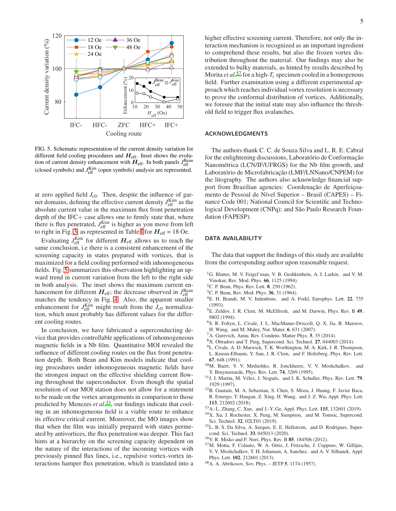

<span id="page-4-12"></span>FIG. 5. Schematic representation of the current density variation for different field cooling procedures and  $H_{\text{eff}}$ . Inset shows the evolution of current density enhancement with  $\vec{H}_{\text{eff}}$ . In both panels  $J_{\text{eff}}^{\text{Bean}}$ (closed symbols) and  $J_{\text{eff}}^{\text{Kim}}$  (open symbols) analysis are represented.

at zero applied field  $J_{c0}$ . Then, despite the influence of garnet domains, defining the effective current density  $J_{\text{eff}}^{\text{Kim}}$  as the absolute current value in the maximum flux front penetration depth of the  $IFC+$  case allows one to firmly state that, where there is flux penetrated,  $J_{\text{eff}}^{\text{Kim}}$  is higher as you move from left to right in Fig. [3,](#page-3-0) as represented in Table [I](#page-3-1) for  $H_{\text{eff}}$  = 18 Oe.

Evaluating  $J_{\text{eff}}^{\text{Kim}}$  for different  $H_{\text{eff}}$  allows us to reach the same conclusion, i.e there is a consistent enhancement of the screening capacity in states prepared with vortices, that is maximized for a field cooling performed with inhomogeneous fields. Fig. [5](#page-4-12) summarizes this observation highlighting an upward trend in current variation from the left to the right side in both analysis. The inset shows the maximum current enhancement for different  $H_{\text{eff}}$ ; the decrease observed in  $J_{\text{eff}}^{\text{Bean}}$ matches the tendency in Fig. [4.](#page-3-2) Also, the apparent smaller enhancement for  $J_{\text{eff}}^{\text{Kim}}$  might result from the  $J_{\text{c}0}$  normalization, which must probably has different values for the different cooling routes.

In conclusion, we have fabricated a superconducting device that provides controllable applications of inhomogeneous magnetic fields in a Nb film. Quantitative MOI revealed the influence of different cooling routes on the flux front penetration depth. Both Bean and Kim models indicate that cooling procedures under inhomogeneous magnetic fields have the strongest impact on the effective shielding current flowing throughout the superconductor. Even though the spatial resolution of our MOI station does not allow for a statement to be made on the vortex arrangements in comparison to those predicted by Menezes *et al.*[33](#page-5-13), our findings indicate that cooling in an inhomogeneous field is a viable route to enhance its effective critical current. Moreover, the MO images show that when the film was initially prepared with states permeated by antivortices, the flux penetration was deeper. This fact hints at a hierarchy on the screening capacity dependent on the nature of the interactions of the incoming vortices with previously pinned flux lines, i.e., repulsive vortex-vortex interactions hamper flux penetration, which is translated into a higher effective screening current. Therefore, not only the interaction mechanism is recognized as an important ingredient to comprehend these results, but also the frozen vortex distribution throughout the material. Our findings may also be extended to bulky materials, as hinted by results described by Morita *et al.*<sup>[57](#page-5-32)</sup> for a high- $T_c$  specimen cooled in a homogenous field. Further examination using a different experimental approach which reaches individual vortex resolution is necessary to prove the conformal distribution of vortices. Additionally, we foresee that the initial state may also influence the threshold field to trigger flux avalanches.

## ACKNOWLEDGMENTS

The authors thank C. C. de Souza Silva and L. R. E. Cabral for the enlightening discussions, Laboratório de Conformação Nanométrica (LCN/IF/UFRGS) for the Nb film growth, and Laboratório de Microfabricação (LMF/LNNano/CNPEM) for the litography. The authors also acknowledge financial support from Brazilian agencies: Coordenação de Aperfeiçoamento de Pessoal de Nível Superior – Brasil (CAPES) – Finance Code 001; National Council for Scientific and Technological Development (CNPq); and São Paulo Research Foundation (FAPESP).

## DATA AVAILABILITY

The data that support the findings of this study are available from the corresponding author upon reasonable request.

- <span id="page-4-0"></span><sup>1</sup>G. Blatter, M. V. Feigel'man, V. B. Geshkenbein, A. I. Larkin, and V. M. Vinokur, Rev. Mod. Phys. 66, 1125 (1994).
- <span id="page-4-1"></span><sup>2</sup>C. P. Bean, Phys. Rev. Lett. 8, 250 (1962).
- <span id="page-4-2"></span> ${}^{3}$ C. P. Bean, Rev. Mod. Phys. 36, 31 (1964).
- <span id="page-4-3"></span><sup>4</sup>E. H. Brandt, M. V. Indenbom, and A. Forkl, Europhys. Lett. 22, 735 (1993).
- <span id="page-4-4"></span><sup>5</sup>E. Zeldov, J. R. Clem, M. McElfresh, and M. Darwin, Phys. Rev. B 49, 9802 (1994).
- <span id="page-4-5"></span><sup>6</sup>S. R. Foltyn, L. Civale, J. L. MacManus-Driscoll, Q. X. Jia, B. Maiorov, H. Wang, and M. Maley, Nat. Mater. 6, 631 (2007).
- <sup>7</sup>A. Gurevich, Annu. Rev. Condens. Matter Phys. 5, 35 (2014).
- <span id="page-4-6"></span><sup>8</sup>X. Obradors and T. Puig, Supercond. Sci. Technol. 27, 044003 (2014).
- <span id="page-4-7"></span><sup>9</sup>L. Civale, A. D. Marwick, T. K. Worthington, M. A. Kirk, J. R. Thompson,
- L. Krusin-Elbaum, Y. Sun, J. R. Clem, and F. Holtzberg, Phys. Rev. Lett. 67, 648 (1991).
- <sup>10</sup>M. Baert, V. V. Metlushko, R. Jonckheere, V. V. Moshchalkov, and Y. Bruynseraede, Phys. Rev. Lett. 74, 3269 (1995).
- <sup>11</sup>J. I. Martin, M. Vélez, J. Nogués, and I. K. Schuller, Phys. Rev. Lett. 79, 1929 (1997).
- <sup>12</sup>B. Gautam, M. A. Sebastian, S. Chen, S. Misra, J. Huang, F. Javier Baca, R. Emergo, T. Haugan, Z. Xing, H. Wang, and J. Z. Wu, Appl. Phys. Lett. 113, 212602 (2018).
- <sup>13</sup>A.-L. Zhang, C. Xue, and J.-Y. Ge, Appl. Phys. Lett. 115, 132601 (2019).
- <sup>14</sup>X. Xu, J. Rochester, X. Peng, M. Sumption, and M. Tomsic, Supercond. Sci. Technol. 32, 02LT01 (2019).
- <span id="page-4-8"></span><sup>15</sup>L. B. S. Da Silva, A. Serquis, E. E. Hellstrom, and D. Rodrigues, Supercond. Sci. Technol. 33, 045013 (2020).
- <span id="page-4-9"></span><sup>16</sup>V. R. Misko and F. Nori, Phys. Rev. B 85, 184506 (2012).
- <span id="page-4-10"></span><sup>17</sup>M. Motta, F. Colauto, W. A. Ortiz, J. Fritzsche, J. Cuppens, W. Gillijns, V. V. Moshchalkov, T. H. Johansen, A. Sanchez, and A. V. Silhanek, Appl. Phys. Lett. 102, 212601 (2013).
- <span id="page-4-11"></span><sup>18</sup>A. A. Abrikosov, Sov. Phys. – JETP 5, 1174 (1957).